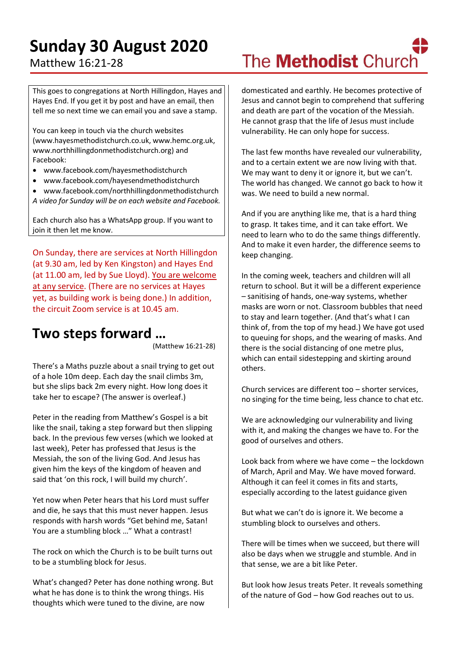## **Sunday 30 August 2020**

### Matthew 16:21-28

#### This goes to congregations at North Hillingdon, Hayes and Hayes End. If you get it by post and have an email, then tell me so next time we can email you and save a stamp.

You can keep in touch via the church websites (www.hayesmethodistchurch.co.uk, www.hemc.org.uk, www.northhillingdonmethodistchurch.org) and Facebook:

- www.facebook.com/hayesmethodistchurch
- www.facebook.com/hayesendmethodistchurch
- www.facebook.com/northhillingdonmethodistchurch *A video for Sunday will be on each website and Facebook.*

Each church also has a WhatsApp group. If you want to join it then let me know.

On Sunday, there are services at North Hillingdon (at 9.30 am, led by Ken Kingston) and Hayes End (at 11.00 am, led by Sue Lloyd). You are welcome at any service. (There are no services at Hayes yet, as building work is being done.) In addition, the circuit Zoom service is at 10.45 am.

### **Two steps forward …**

(Matthew 16:21-28)

There's a Maths puzzle about a snail trying to get out of a hole 10m deep. Each day the snail climbs 3m, but she slips back 2m every night. How long does it take her to escape? (The answer is overleaf.)

Peter in the reading from Matthew's Gospel is a bit like the snail, taking a step forward but then slipping back. In the previous few verses (which we looked at last week), Peter has professed that Jesus is the Messiah, the son of the living God. And Jesus has given him the keys of the kingdom of heaven and said that 'on this rock, I will build my church'.

Yet now when Peter hears that his Lord must suffer and die, he says that this must never happen. Jesus responds with harsh words "Get behind me, Satan! You are a stumbling block …" What a contrast!

The rock on which the Church is to be built turns out to be a stumbling block for Jesus.

What's changed? Peter has done nothing wrong. But what he has done is to think the wrong things. His thoughts which were tuned to the divine, are now

# The **Methodist** Church

domesticated and earthly. He becomes protective of Jesus and cannot begin to comprehend that suffering and death are part of the vocation of the Messiah. He cannot grasp that the life of Jesus must include vulnerability. He can only hope for success.

The last few months have revealed our vulnerability, and to a certain extent we are now living with that. We may want to deny it or ignore it, but we can't. The world has changed. We cannot go back to how it was. We need to build a new normal.

And if you are anything like me, that is a hard thing to grasp. It takes time, and it can take effort. We need to learn who to do the same things differently. And to make it even harder, the difference seems to keep changing.

In the coming week, teachers and children will all return to school. But it will be a different experience – sanitising of hands, one-way systems, whether masks are worn or not. Classroom bubbles that need to stay and learn together. (And that's what I can think of, from the top of my head.) We have got used to queuing for shops, and the wearing of masks. And there is the social distancing of one metre plus, which can entail sidestepping and skirting around others.

Church services are different too – shorter services, no singing for the time being, less chance to chat etc.

We are acknowledging our vulnerability and living with it, and making the changes we have to. For the good of ourselves and others.

Look back from where we have come – the lockdown of March, April and May. We have moved forward. Although it can feel it comes in fits and starts, especially according to the latest guidance given

But what we can't do is ignore it. We become a stumbling block to ourselves and others.

There will be times when we succeed, but there will also be days when we struggle and stumble. And in that sense, we are a bit like Peter.

But look how Jesus treats Peter. It reveals something of the nature of God – how God reaches out to us.